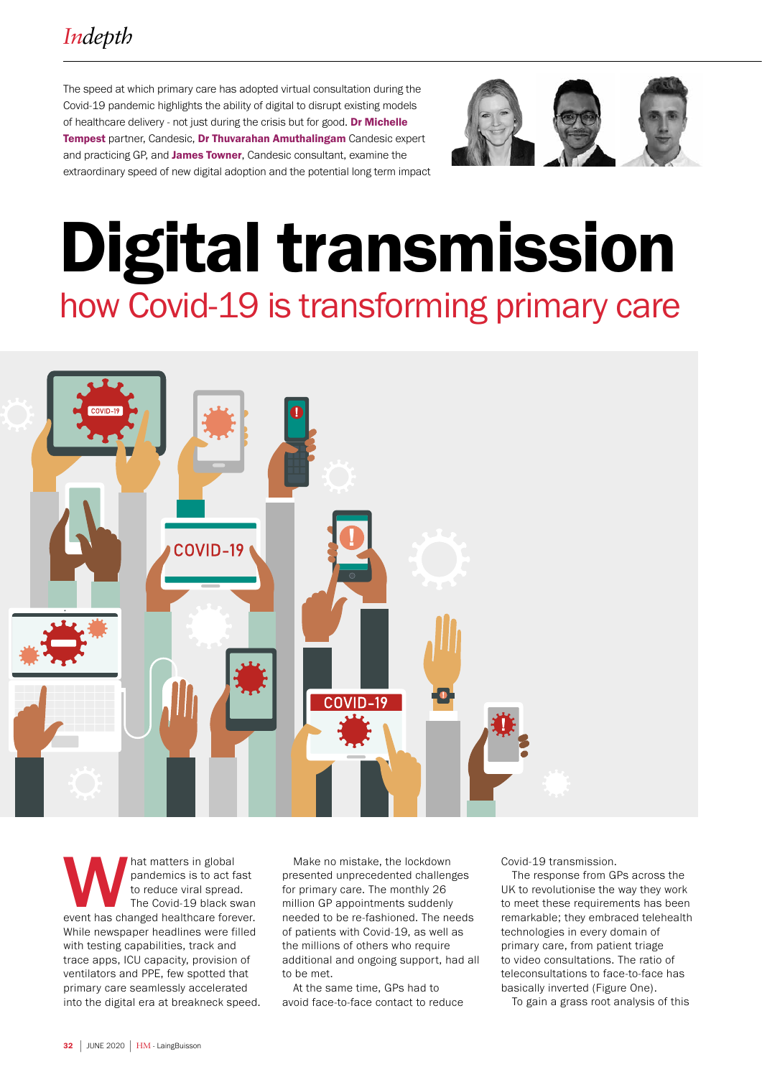The speed at which primary care has adopted virtual consultation during the Covid-19 pandemic highlights the ability of digital to disrupt existing models of healthcare delivery - not just during the crisis but for good. Dr Michelle Tempest partner, Candesic, Dr Thuvarahan Amuthalingam Candesic expert and practicing GP, and James Towner, Candesic consultant, examine the extraordinary speed of new digital adoption and the potential long term impact



# Digital transmission how Covid-19 is transforming primary care



hat matters in global<br>
pandemics is to act fast<br>
to reduce viral spread.<br>
The Covid-19 black swan<br>
event has changed healthcare forever. pandemics is to act fast to reduce viral spread. The Covid-19 black swan While newspaper headlines were filled with testing capabilities, track and trace apps, ICU capacity, provision of ventilators and PPE, few spotted that primary care seamlessly accelerated into the digital era at breakneck speed.

Make no mistake, the lockdown presented unprecedented challenges for primary care. The monthly 26 million GP appointments suddenly needed to be re-fashioned. The needs of patients with Covid-19, as well as the millions of others who require additional and ongoing support, had all to be met.

At the same time, GPs had to avoid face-to-face contact to reduce Covid-19 transmission.

The response from GPs across the UK to revolutionise the way they work to meet these requirements has been remarkable; they embraced telehealth technologies in every domain of primary care, from patient triage to video consultations. The ratio of teleconsultations to face-to-face has basically inverted (Figure One).

To gain a grass root analysis of this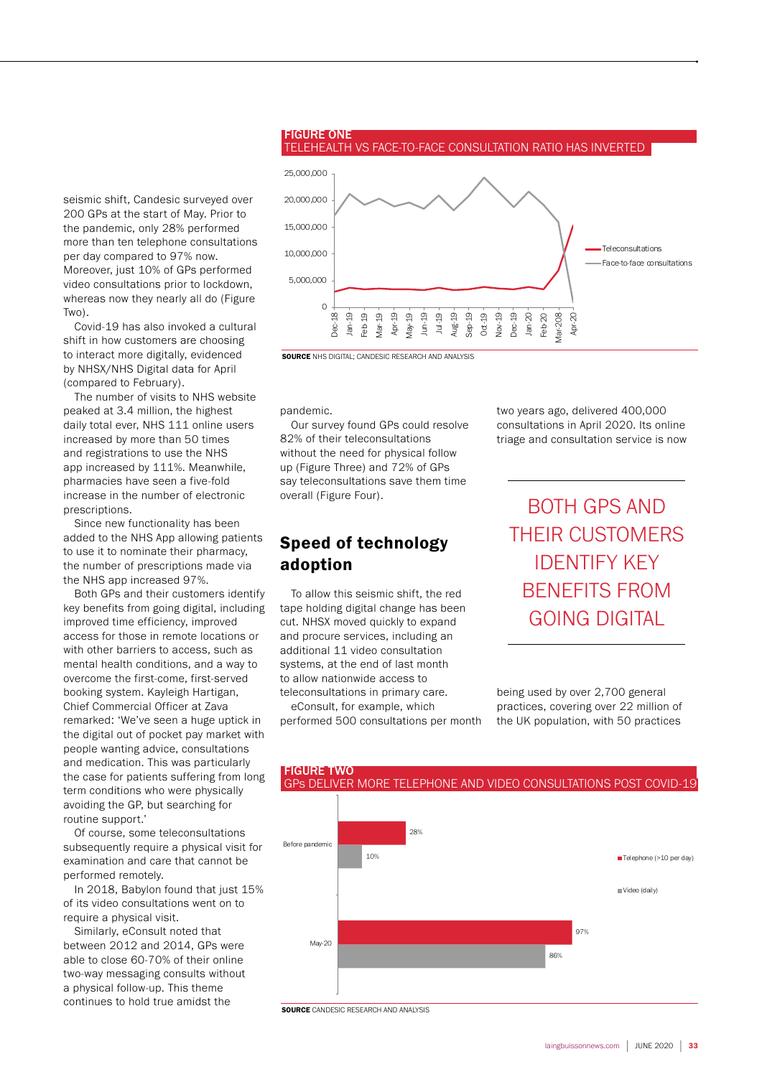

## TELEHEALTH VS FACE-TO-FACE CONSULTATION RATIO HAS INVERTED

seismic shift, Candesic surveyed over 200 GPs at the start of May. Prior to the pandemic, only 28% performed more than ten telephone consultations per day compared to 97% now. Moreover, just 10% of GPs performed video consultations prior to lockdown, whereas now they nearly all do (Figure Two).

Covid-19 has also invoked a cultural shift in how customers are choosing to interact more digitally, evidenced by NHSX/NHS Digital data for April (compared to February).

The number of visits to NHS website peaked at 3.4 million, the highest daily total ever, NHS 111 online users increased by more than 50 times and registrations to use the NHS app increased by 111%. Meanwhile, pharmacies have seen a five-fold increase in the number of electronic prescriptions.

Since new functionality has been added to the NHS App allowing patients to use it to nominate their pharmacy, the number of prescriptions made via the NHS app increased 97%.

Both GPs and their customers identify key benefits from going digital, including improved time efficiency, improved access for those in remote locations or with other barriers to access, such as mental health conditions, and a way to overcome the first-come, first-served booking system. Kayleigh Hartigan, Chief Commercial Officer at Zava remarked: 'We've seen a huge uptick in the digital out of pocket pay market with people wanting advice, consultations and medication. This was particularly the case for patients suffering from long term conditions who were physically avoiding the GP, but searching for routine support.'

Of course, some teleconsultations subsequently require a physical visit for examination and care that cannot be performed remotely.

In 2018, Babylon found that just 15% of its video consultations went on to require a physical visit.

Similarly, eConsult noted that between 2012 and 2014, GPs were able to close 60-70% of their online two-way messaging consults without a physical follow-up. This theme continues to hold true amidst the

pandemic.

FIGURE ONE

adoption

Our survey found GPs could resolve 82% of their teleconsultations without the need for physical follow up (Figure Three) and 72% of GPs say teleconsultations save them time overall (Figure Four).

Speed of technology

To allow this seismic shift, the red tape holding digital change has been cut. NHSX moved quickly to expand and procure services, including an additional 11 video consultation systems, at the end of last month to allow nationwide access to teleconsultations in primary care. eConsult, for example, which performed 500 consultations per month two years ago, delivered 400,000 consultations in April 2020. Its online triage and consultation service is now

BOTH GPS AND THEIR CUSTOMERS IDENTIFY KEY BENEFITS FROM GOING DIGITAL

being used by over 2,700 general practices, covering over 22 million of the UK population, with 50 practices



**SOURCE** CANDESIC RESEARCH AND ANALYSIS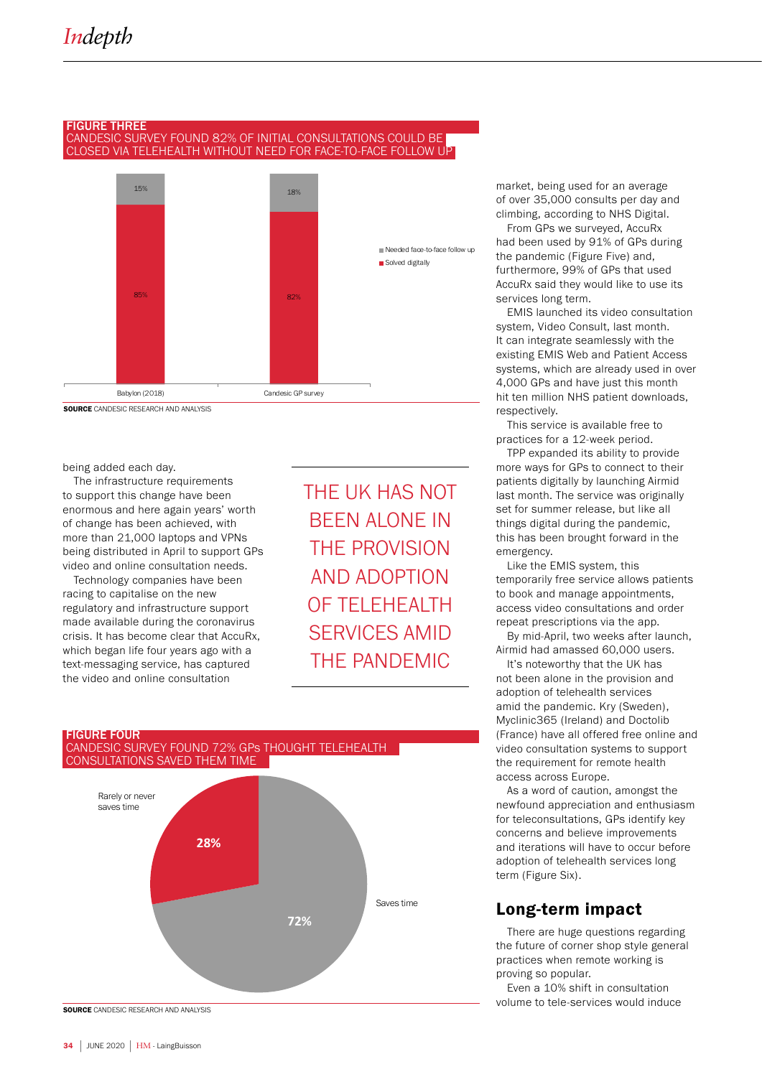### FIGURE THREE CANDESIC SURVEY FOUND 82% OF INITIAL CONSULTATIONS COULD BE CLOSED VIA TELEHEALTH WITHOUT NEED FOR FACE-TO-FACE FOLLOW UP



SOURCE CANDESIC RESEARCH AND ANALYSIS

### being added each day.

The infrastructure requirements to support this change have been enormous and here again years' worth of change has been achieved, with more than 21,000 laptops and VPNs being distributed in April to support GPs video and online consultation needs.

Technology companies have been racing to capitalise on the new regulatory and infrastructure support made available during the coronavirus crisis. It has become clear that AccuRx, which began life four years ago with a text-messaging service, has captured the video and online consultation

THE UK HAS NOT BEEN ALONE IN THE PROVISION AND ADOPTION OF TELEHEALTH SERVICES AMID THE PANDEMIC

# FIGURE FOUR<br>CANDESIC SURVEY FOUND 72% GPs THOUGHT TELEHEALTH CONSULTATIONS SAVED THEM TIME



market, being used for an average of over 35,000 consults per day and climbing, according to NHS Digital.

From GPs we surveyed, AccuRx had been used by 91% of GPs during the pandemic (Figure Five) and, furthermore, 99% of GPs that used AccuRx said they would like to use its services long term.

EMIS launched its video consultation system, Video Consult, last month. It can integrate seamlessly with the existing EMIS Web and Patient Access systems, which are already used in over 4,000 GPs and have just this month hit ten million NHS patient downloads, respectively.

This service is available free to practices for a 12-week period.

TPP expanded its ability to provide more ways for GPs to connect to their patients digitally by launching Airmid last month. The service was originally set for summer release, but like all things digital during the pandemic, this has been brought forward in the emergency.

Like the EMIS system, this temporarily free service allows patients to book and manage appointments, access video consultations and order repeat prescriptions via the app.

By mid-April, two weeks after launch, Airmid had amassed 60,000 users.

It's noteworthy that the UK has not been alone in the provision and adoption of telehealth services amid the pandemic. Kry (Sweden), Myclinic365 (Ireland) and Doctolib (France) have all offered free online and video consultation systems to support the requirement for remote health access across Europe.

As a word of caution, amongst the newfound appreciation and enthusiasm for teleconsultations, GPs identify key concerns and believe improvements and iterations will have to occur before adoption of telehealth services long term (Figure Six).

## Long-term impact

There are huge questions regarding the future of corner shop style general practices when remote working is proving so popular.

Even a 10% shift in consultation